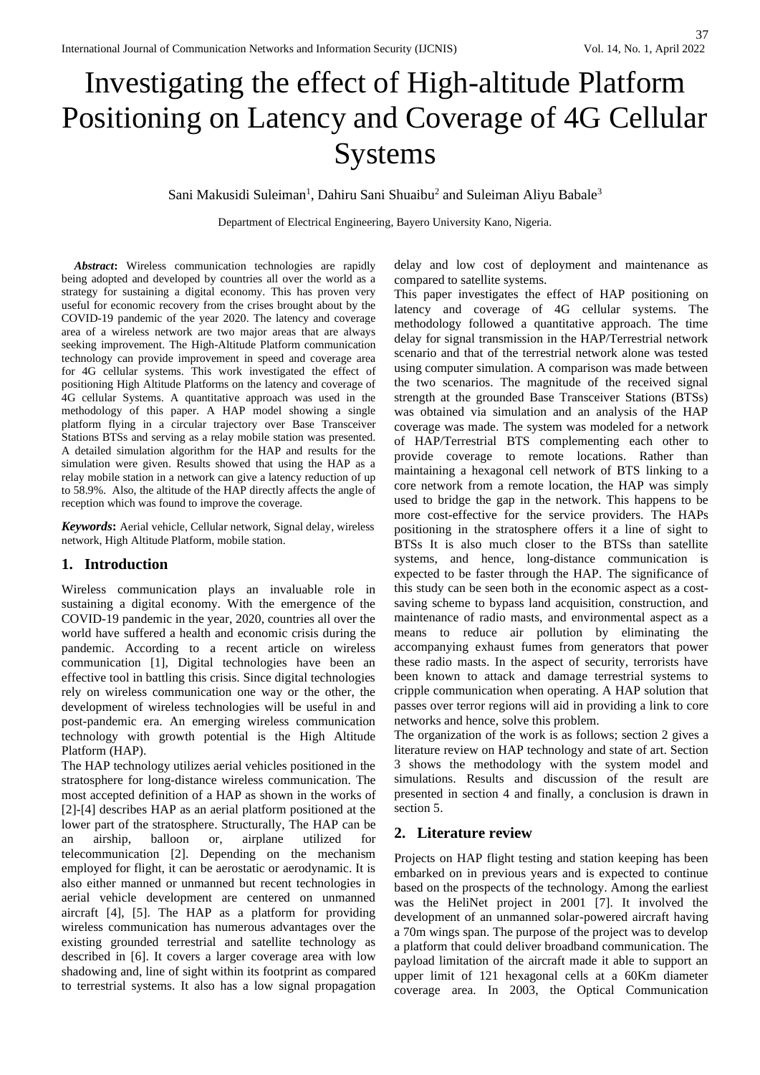# Investigating the effect of High-altitude Platform Positioning on Latency and Coverage of 4G Cellular Systems

Sani Makusidi Suleiman<sup>1</sup>, Dahiru Sani Shuaibu<sup>2</sup> and Suleiman Aliyu Babale<sup>3</sup>

Department of Electrical Engineering, Bayero University Kano, Nigeria.

*Abstract***:** Wireless communication technologies are rapidly being adopted and developed by countries all over the world as a strategy for sustaining a digital economy. This has proven very useful for economic recovery from the crises brought about by the COVID-19 pandemic of the year 2020. The latency and coverage area of a wireless network are two major areas that are always seeking improvement. The High-Altitude Platform communication technology can provide improvement in speed and coverage area for 4G cellular systems. This work investigated the effect of positioning High Altitude Platforms on the latency and coverage of 4G cellular Systems. A quantitative approach was used in the methodology of this paper. A HAP model showing a single platform flying in a circular trajectory over Base Transceiver Stations BTSs and serving as a relay mobile station was presented. A detailed simulation algorithm for the HAP and results for the simulation were given. Results showed that using the HAP as a relay mobile station in a network can give a latency reduction of up to 58.9%. Also, the altitude of the HAP directly affects the angle of reception which was found to improve the coverage.

*Keywords***:** Aerial vehicle, Cellular network, Signal delay, wireless network, High Altitude Platform, mobile station.

## **1. Introduction**

Wireless communication plays an invaluable role in sustaining a digital economy. With the emergence of the COVID-19 pandemic in the year, 2020, countries all over the world have suffered a health and economic crisis during the pandemic. According to a recent article on wireless communication [1], Digital technologies have been an effective tool in battling this crisis. Since digital technologies rely on wireless communication one way or the other, the development of wireless technologies will be useful in and post-pandemic era. An emerging wireless communication technology with growth potential is the High Altitude Platform (HAP).

The HAP technology utilizes aerial vehicles positioned in the stratosphere for long-distance wireless communication. The most accepted definition of a HAP as shown in the works of [2]-[4] describes HAP as an aerial platform positioned at the lower part of the stratosphere. Structurally, The HAP can be an airship, balloon or, airplane utilized for telecommunication [2]. Depending on the mechanism employed for flight, it can be aerostatic or aerodynamic. It is also either manned or unmanned but recent technologies in aerial vehicle development are centered on unmanned aircraft [4], [5]. The HAP as a platform for providing wireless communication has numerous advantages over the existing grounded terrestrial and satellite technology as described in [6]. It covers a larger coverage area with low shadowing and, line of sight within its footprint as compared to terrestrial systems. It also has a low signal propagation delay and low cost of deployment and maintenance as compared to satellite systems.

This paper investigates the effect of HAP positioning on latency and coverage of 4G cellular systems. The methodology followed a quantitative approach. The time delay for signal transmission in the HAP/Terrestrial network scenario and that of the terrestrial network alone was tested using computer simulation. A comparison was made between the two scenarios. The magnitude of the received signal strength at the grounded Base Transceiver Stations (BTSs) was obtained via simulation and an analysis of the HAP coverage was made. The system was modeled for a network of HAP/Terrestrial BTS complementing each other to provide coverage to remote locations. Rather than maintaining a hexagonal cell network of BTS linking to a core network from a remote location, the HAP was simply used to bridge the gap in the network. This happens to be more cost-effective for the service providers. The HAPs positioning in the stratosphere offers it a line of sight to BTSs It is also much closer to the BTSs than satellite systems, and hence, long-distance communication is expected to be faster through the HAP. The significance of this study can be seen both in the economic aspect as a costsaving scheme to bypass land acquisition, construction, and maintenance of radio masts, and environmental aspect as a means to reduce air pollution by eliminating the accompanying exhaust fumes from generators that power these radio masts. In the aspect of security, terrorists have been known to attack and damage terrestrial systems to cripple communication when operating. A HAP solution that passes over terror regions will aid in providing a link to core networks and hence, solve this problem.

The organization of the work is as follows; section 2 gives a literature review on HAP technology and state of art. Section 3 shows the methodology with the system model and simulations. Results and discussion of the result are presented in section 4 and finally, a conclusion is drawn in section 5.

## **2. Literature review**

Projects on HAP flight testing and station keeping has been embarked on in previous years and is expected to continue based on the prospects of the technology. Among the earliest was the HeliNet project in 2001 [7]. It involved the development of an unmanned solar-powered aircraft having a 70m wings span. The purpose of the project was to develop a platform that could deliver broadband communication. The payload limitation of the aircraft made it able to support an upper limit of 121 hexagonal cells at a 60Km diameter coverage area. In 2003, the Optical Communication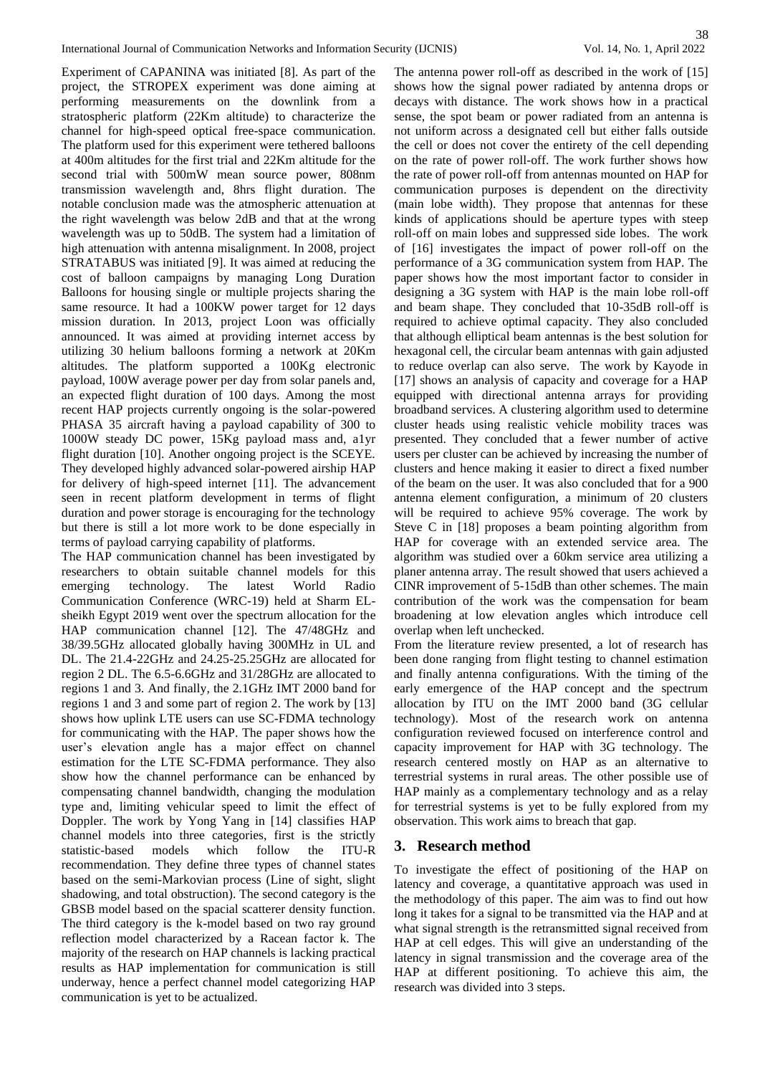Experiment of CAPANINA was initiated [8]. As part of the project, the STROPEX experiment was done aiming at performing measurements on the downlink from a stratospheric platform (22Km altitude) to characterize the channel for high-speed optical free-space communication. The platform used for this experiment were tethered balloons at 400m altitudes for the first trial and 22Km altitude for the second trial with 500mW mean source power, 808nm transmission wavelength and, 8hrs flight duration. The notable conclusion made was the atmospheric attenuation at the right wavelength was below 2dB and that at the wrong wavelength was up to 50dB. The system had a limitation of high attenuation with antenna misalignment. In 2008, project STRATABUS was initiated [9]. It was aimed at reducing the cost of balloon campaigns by managing Long Duration Balloons for housing single or multiple projects sharing the same resource. It had a 100KW power target for 12 days mission duration. In 2013, project Loon was officially announced. It was aimed at providing internet access by utilizing 30 helium balloons forming a network at 20Km altitudes. The platform supported a 100Kg electronic payload, 100W average power per day from solar panels and, an expected flight duration of 100 days. Among the most recent HAP projects currently ongoing is the solar-powered PHASA 35 aircraft having a payload capability of 300 to 1000W steady DC power, 15Kg payload mass and, a1yr flight duration [10]. Another ongoing project is the SCEYE. They developed highly advanced solar-powered airship HAP for delivery of high-speed internet [11]. The advancement seen in recent platform development in terms of flight duration and power storage is encouraging for the technology but there is still a lot more work to be done especially in terms of payload carrying capability of platforms.

The HAP communication channel has been investigated by researchers to obtain suitable channel models for this emerging technology. The latest World Radio Communication Conference (WRC-19) held at Sharm ELsheikh Egypt 2019 went over the spectrum allocation for the HAP communication channel [12]. The 47/48GHz and 38/39.5GHz allocated globally having 300MHz in UL and DL. The 21.4-22GHz and 24.25-25.25GHz are allocated for region 2 DL. The 6.5-6.6GHz and 31/28GHz are allocated to regions 1 and 3. And finally, the 2.1GHz IMT 2000 band for regions 1 and 3 and some part of region 2. The work by [13] shows how uplink LTE users can use SC-FDMA technology for communicating with the HAP. The paper shows how the user's elevation angle has a major effect on channel estimation for the LTE SC-FDMA performance. They also show how the channel performance can be enhanced by compensating channel bandwidth, changing the modulation type and, limiting vehicular speed to limit the effect of Doppler. The work by Yong Yang in [14] classifies HAP channel models into three categories, first is the strictly statistic-based models which follow the ITU-R recommendation. They define three types of channel states based on the semi-Markovian process (Line of sight, slight shadowing, and total obstruction). The second category is the GBSB model based on the spacial scatterer density function. The third category is the k-model based on two ray ground reflection model characterized by a Racean factor k. The majority of the research on HAP channels is lacking practical results as HAP implementation for communication is still underway, hence a perfect channel model categorizing HAP communication is yet to be actualized.

The antenna power roll-off as described in the work of [15] shows how the signal power radiated by antenna drops or decays with distance. The work shows how in a practical sense, the spot beam or power radiated from an antenna is not uniform across a designated cell but either falls outside the cell or does not cover the entirety of the cell depending on the rate of power roll-off. The work further shows how the rate of power roll-off from antennas mounted on HAP for communication purposes is dependent on the directivity (main lobe width). They propose that antennas for these kinds of applications should be aperture types with steep roll-off on main lobes and suppressed side lobes. The work of [16] investigates the impact of power roll-off on the performance of a 3G communication system from HAP. The paper shows how the most important factor to consider in designing a 3G system with HAP is the main lobe roll-off and beam shape. They concluded that 10-35dB roll-off is required to achieve optimal capacity. They also concluded that although elliptical beam antennas is the best solution for hexagonal cell, the circular beam antennas with gain adjusted to reduce overlap can also serve. The work by Kayode in [17] shows an analysis of capacity and coverage for a HAP equipped with directional antenna arrays for providing broadband services. A clustering algorithm used to determine cluster heads using realistic vehicle mobility traces was presented. They concluded that a fewer number of active users per cluster can be achieved by increasing the number of clusters and hence making it easier to direct a fixed number of the beam on the user. It was also concluded that for a 900 antenna element configuration, a minimum of 20 clusters will be required to achieve 95% coverage. The work by Steve C in [18] proposes a beam pointing algorithm from HAP for coverage with an extended service area. The algorithm was studied over a 60km service area utilizing a planer antenna array. The result showed that users achieved a CINR improvement of 5-15dB than other schemes. The main contribution of the work was the compensation for beam broadening at low elevation angles which introduce cell overlap when left unchecked.

From the literature review presented, a lot of research has been done ranging from flight testing to channel estimation and finally antenna configurations. With the timing of the early emergence of the HAP concept and the spectrum allocation by ITU on the IMT 2000 band (3G cellular technology). Most of the research work on antenna configuration reviewed focused on interference control and capacity improvement for HAP with 3G technology. The research centered mostly on HAP as an alternative to terrestrial systems in rural areas. The other possible use of HAP mainly as a complementary technology and as a relay for terrestrial systems is yet to be fully explored from my observation. This work aims to breach that gap.

## **3. Research method**

To investigate the effect of positioning of the HAP on latency and coverage, a quantitative approach was used in the methodology of this paper. The aim was to find out how long it takes for a signal to be transmitted via the HAP and at what signal strength is the retransmitted signal received from HAP at cell edges. This will give an understanding of the latency in signal transmission and the coverage area of the HAP at different positioning. To achieve this aim, the research was divided into 3 steps.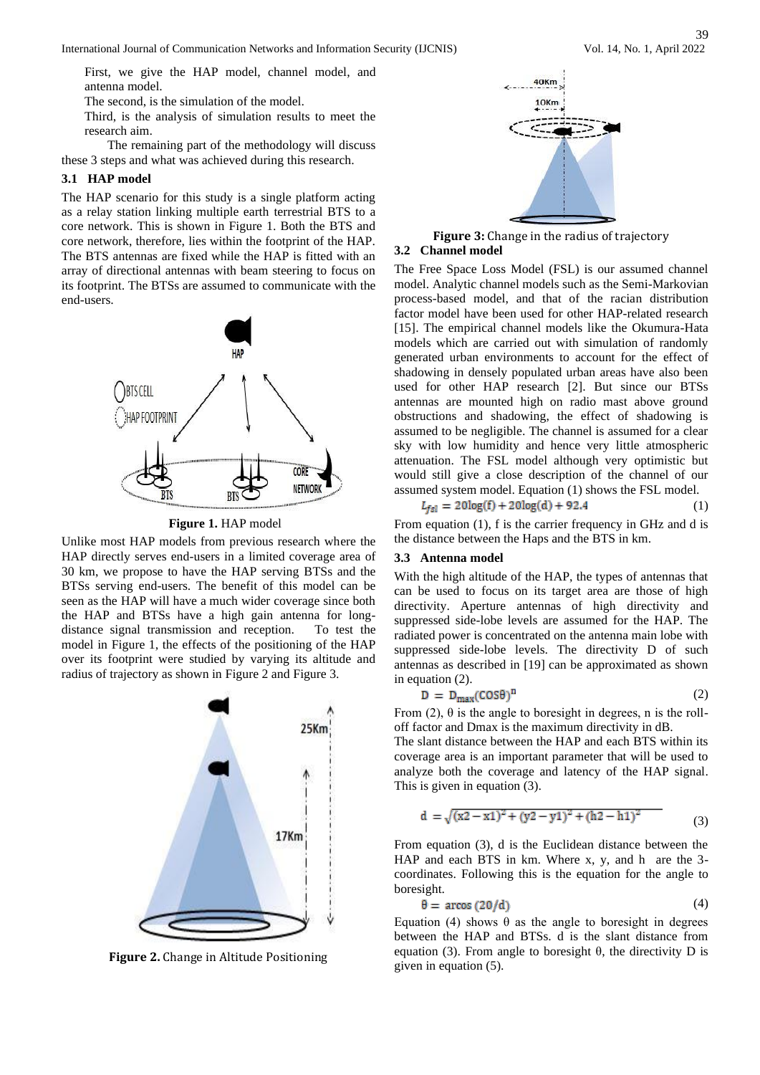First, we give the HAP model, channel model, and antenna model.

The second, is the simulation of the model.

Third, is the analysis of simulation results to meet the research aim.

The remaining part of the methodology will discuss these 3 steps and what was achieved during this research.

# **3.1 HAP model**

The HAP scenario for this study is a single platform acting as a relay station linking multiple earth terrestrial BTS to a core network. This is shown in Figure 1. Both the BTS and core network, therefore, lies within the footprint of the HAP. The BTS antennas are fixed while the HAP is fitted with an array of directional antennas with beam steering to focus on its footprint. The BTSs are assumed to communicate with the end-users.



**Figure 1.** HAP model

Unlike most HAP models from previous research where the HAP directly serves end-users in a limited coverage area of 30 km, we propose to have the HAP serving BTSs and the BTSs serving end-users. The benefit of this model can be seen as the HAP will have a much wider coverage since both the HAP and BTSs have a high gain antenna for longdistance signal transmission and reception. To test the model in Figure 1, the effects of the positioning of the HAP over its footprint were studied by varying its altitude and radius of trajectory as shown in Figure 2 and Figure 3.



**Figure 2.** Change in Altitude Positioning



**Figure 3:** Change in the radius of trajectory

### **3.2 Channel model**

The Free Space Loss Model (FSL) is our assumed channel model. Analytic channel models such as the Semi-Markovian process-based model, and that of the racian distribution factor model have been used for other HAP-related research [15]. The empirical channel models like the Okumura-Hata models which are carried out with simulation of randomly generated urban environments to account for the effect of shadowing in densely populated urban areas have also been used for other HAP research [2]. But since our BTSs antennas are mounted high on radio mast above ground obstructions and shadowing, the effect of shadowing is assumed to be negligible. The channel is assumed for a clear sky with low humidity and hence very little atmospheric attenuation. The FSL model although very optimistic but would still give a close description of the channel of our assumed system model. Equation (1) shows the FSL model.

$$
L_{fsl} = 20\log(f) + 20\log(d) + 92.4\tag{1}
$$

From equation (1), f is the carrier frequency in GHz and d is the distance between the Haps and the BTS in km.

#### **3.3 Antenna model**

With the high altitude of the HAP, the types of antennas that can be used to focus on its target area are those of high directivity. Aperture antennas of high directivity and suppressed side-lobe levels are assumed for the HAP. The radiated power is concentrated on the antenna main lobe with suppressed side-lobe levels. The directivity D of such antennas as described in [19] can be approximated as shown in equation (2).

$$
D = D_{\text{max}}(COS\theta)^n \tag{2}
$$

From (2),  $\theta$  is the angle to boresight in degrees, n is the rolloff factor and Dmax is the maximum directivity in dB.

The slant distance between the HAP and each BTS within its coverage area is an important parameter that will be used to analyze both the coverage and latency of the HAP signal. This is given in equation (3).

$$
d = \sqrt{(x^2 - x^2)^2 + (y^2 - y^2)^2 + (h^2 - h^2)^2}
$$
 (3)

From equation (3), d is the Euclidean distance between the HAP and each BTS in km. Where x, y, and h are the 3 coordinates. Following this is the equation for the angle to boresight.

$$
\theta = \arccos(20/d) \tag{4}
$$

Equation (4) shows  $θ$  as the angle to boresight in degrees between the HAP and BTSs. d is the slant distance from equation (3). From angle to boresight  $θ$ , the directivity D is given in equation (5).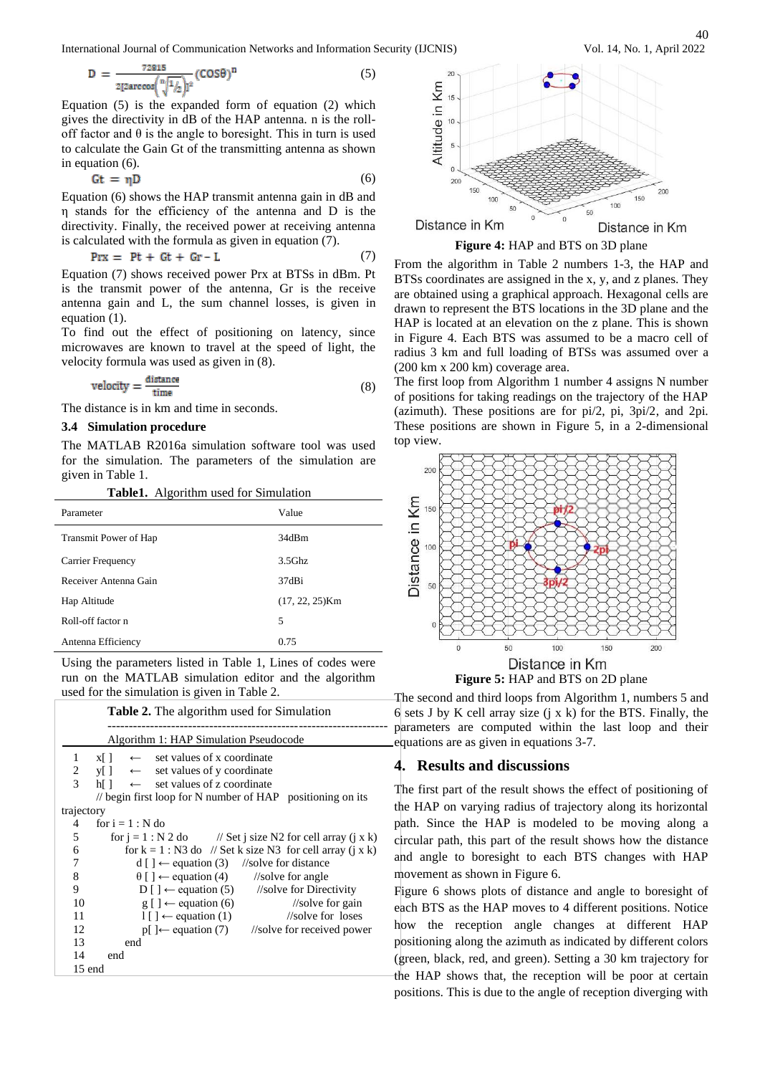International Journal of Communication Networks and Information Security (IJCNIS)

$$
D = \frac{72815}{2[2 \arccos(\sqrt[n]{1/2})]^2} (COS\theta)^n
$$
 (5)

Equation (5) is the expanded form of equation (2) which gives the directivity in dB of the HAP antenna. n is the rolloff factor and  $\theta$  is the angle to boresight. This in turn is used to calculate the Gain Gt of the transmitting antenna as shown in equation (6).

$$
Gt = \eta D \tag{6}
$$

Equation (6) shows the HAP transmit antenna gain in dB and η stands for the efficiency of the antenna and D is the directivity. Finally, the received power at receiving antenna is calculated with the formula as given in equation (7).

$$
PrX = Pt + Gt + Gr - L \tag{7}
$$

Equation (7) shows received power Prx at BTSs in dBm. Pt is the transmit power of the antenna, Gr is the receive antenna gain and L, the sum channel losses, is given in equation (1).

To find out the effect of positioning on latency, since microwaves are known to travel at the speed of light, the velocity formula was used as given in (8).

$$
velocity = \frac{distance}{time}
$$
 (8)

The distance is in km and time in seconds.

## **3.4 Simulation procedure**

The MATLAB R2016a simulation software tool was used for the simulation. The parameters of the simulation are given in Table 1.

|  | Table1. Algorithm used for Simulation |  |  |  |
|--|---------------------------------------|--|--|--|
|--|---------------------------------------|--|--|--|

| Parameter                    | Value             |
|------------------------------|-------------------|
| <b>Transmit Power of Hap</b> | 34dBm             |
| Carrier Frequency            | $3.5$ Ghz         |
| Receiver Antenna Gain        | 37dBi             |
| Hap Altitude                 | $(17, 22, 25)$ Km |
| Roll-off factor n            | 5                 |
| Antenna Efficiency           | 0.75              |

Using the parameters listed in Table 1, Lines of codes were run on the MATLAB simulation editor and the algorithm used for the simulation is given in Table 2.

|                          | <b>Table 2.</b> The algorithm used for Simulation                         |
|--------------------------|---------------------------------------------------------------------------|
|                          | Algorithm 1: HAP Simulation Pseudocode                                    |
| 1                        | $\leftarrow$ set values of x coordinate<br>$x \lceil \cdot \rceil$        |
| 2                        | $y \mid \rightarrow$ set values of y coordinate                           |
| $\overline{\mathcal{L}}$ | $h[] \leftarrow$ set values of z coordinate                               |
|                          | // begin first loop for N number of $HAP$ positioning on its              |
| trajectory               |                                                                           |
| 4                        | for $i = 1 : N$ do                                                        |
| 5                        | for $i = 1 : N 2$ do // Set i size N2 for cell array (i x k)              |
| 6                        | for $k = 1$ : N3 do // Set k size N3 for cell array (j x k)               |
| 7                        | $d \mid \cdot \mid \leftarrow$ equation (3) //solve for distance          |
| 8                        | $\theta$ [ ] $\leftarrow$ equation (4) //solve for angle                  |
| 9                        | $D \mid \cdot \cdot \cdot$ equation (5) //solve for Directivity           |
| 10                       | $g$ [] $\leftarrow$ equation (6)<br>$\frac{1}{\sqrt{2}}$ //solve for gain |
| 11                       | //solve for loses<br>$1 \mid \cdot \mid \leftarrow$ equation (1)          |
| 12                       | $p \upharpoonright  \leftarrow$ equation (7) //solve for received power   |
| 13                       | end                                                                       |
| 14                       | end                                                                       |
| 15 end                   |                                                                           |
|                          |                                                                           |



**Figure 4:** HAP and BTS on 3D plane

From the algorithm in Table 2 numbers 1-3, the HAP and BTSs coordinates are assigned in the x, y, and z planes. They are obtained using a graphical approach. Hexagonal cells are drawn to represent the BTS locations in the 3D plane and the HAP is located at an elevation on the z plane. This is shown in Figure 4. Each BTS was assumed to be a macro cell of radius 3 km and full loading of BTSs was assumed over a (200 km x 200 km) coverage area.

The first loop from Algorithm 1 number 4 assigns N number of positions for taking readings on the trajectory of the HAP (azimuth). These positions are for pi/2, pi, 3pi/2, and 2pi. These positions are shown in Figure 5, in a 2-dimensional top view.



**Figure 5:** HAP and BTS on 2D plane

The second and third loops from Algorithm 1, numbers 5 and  $6$  sets J by K cell array size  $(j \times k)$  for the BTS. Finally, the parameters are computed within the last loop and their equations are as given in equations 3-7.

## **4. Results and discussions**

The first part of the result shows the effect of positioning of the HAP on varying radius of trajectory along its horizontal path. Since the HAP is modeled to be moving along a circular path, this part of the result shows how the distance and angle to boresight to each BTS changes with HAP movement as shown in Figure 6.

Figure 6 shows plots of distance and angle to boresight of each BTS as the HAP moves to 4 different positions. Notice how the reception angle changes at different HAP positioning along the azimuth as indicated by different colors (green, black, red, and green). Setting a 30 km trajectory for the HAP shows that, the reception will be poor at certain positions. This is due to the angle of reception diverging with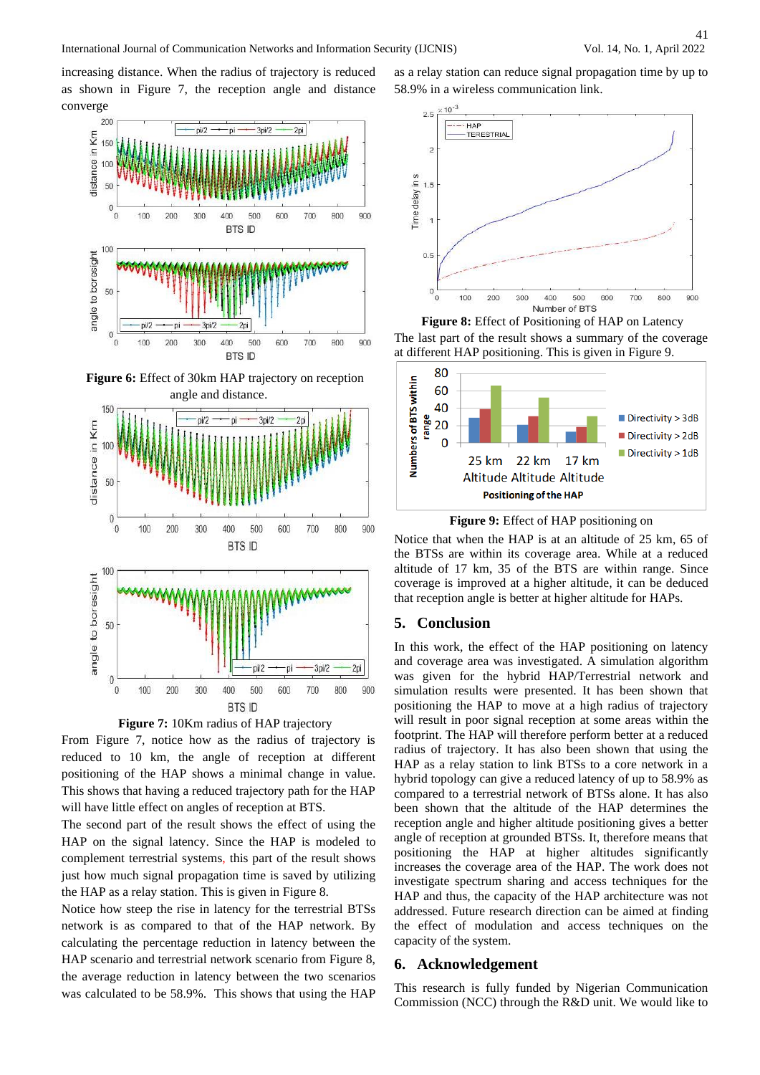increasing distance. When the radius of trajectory is reduced as shown in Figure 7, the reception angle and distance converge



**Figure 6:** Effect of 30km HAP trajectory on reception angle and distance.



**Figure 7:** 10Km radius of HAP trajectory

From Figure 7, notice how as the radius of trajectory is reduced to 10 km, the angle of reception at different positioning of the HAP shows a minimal change in value. This shows that having a reduced trajectory path for the HAP will have little effect on angles of reception at BTS.

The second part of the result shows the effect of using the HAP on the signal latency. Since the HAP is modeled to complement terrestrial systems, this part of the result shows just how much signal propagation time is saved by utilizing the HAP as a relay station. This is given in Figure 8.

Notice how steep the rise in latency for the terrestrial BTSs network is as compared to that of the HAP network. By calculating the percentage reduction in latency between the HAP scenario and terrestrial network scenario from Figure 8, the average reduction in latency between the two scenarios was calculated to be 58.9%. This shows that using the HAP as a relay station can reduce signal propagation time by up to 58.9% in a wireless communication link.



**Figure 8:** Effect of Positioning of HAP on Latency The last part of the result shows a summary of the coverage at different HAP positioning. This is given in Figure 9.



**Figure 9:** Effect of HAP positioning on

Notice that when the HAP is at an altitude of 25 km, 65 of the BTSs are within its coverage area. While at a reduced altitude of 17 km, 35 of the BTS are within range. Since coverage is improved at a higher altitude, it can be deduced that reception angle is better at higher altitude for HAPs.

## **5. Conclusion**

In this work, the effect of the HAP positioning on latency and coverage area was investigated. A simulation algorithm was given for the hybrid HAP/Terrestrial network and simulation results were presented. It has been shown that positioning the HAP to move at a high radius of trajectory will result in poor signal reception at some areas within the footprint. The HAP will therefore perform better at a reduced radius of trajectory. It has also been shown that using the HAP as a relay station to link BTSs to a core network in a hybrid topology can give a reduced latency of up to 58.9% as compared to a terrestrial network of BTSs alone. It has also been shown that the altitude of the HAP determines the reception angle and higher altitude positioning gives a better angle of reception at grounded BTSs. It, therefore means that positioning the HAP at higher altitudes significantly increases the coverage area of the HAP. The work does not investigate spectrum sharing and access techniques for the HAP and thus, the capacity of the HAP architecture was not addressed. Future research direction can be aimed at finding the effect of modulation and access techniques on the capacity of the system.

## **6. Acknowledgement**

This research is fully funded by Nigerian Communication Commission (NCC) through the R&D unit. We would like to